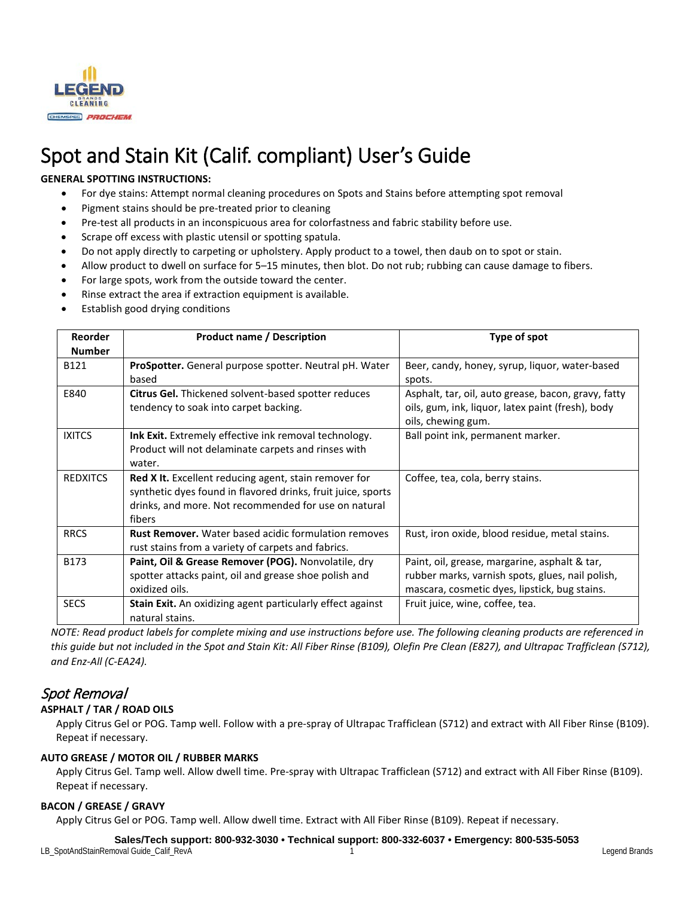

# Spot and Stain Kit (Calif. compliant) User's Guide

# **GENERAL SPOTTING INSTRUCTIONS:**

- For dye stains: Attempt normal cleaning procedures on Spots and Stains before attempting spot removal
- Pigment stains should be pre-treated prior to cleaning
- Pre-test all products in an inconspicuous area for colorfastness and fabric stability before use.
- Scrape off excess with plastic utensil or spotting spatula.
- Do not apply directly to carpeting or upholstery. Apply product to a towel, then daub on to spot or stain.
- Allow product to dwell on surface for 5–15 minutes, then blot. Do not rub; rubbing can cause damage to fibers.
- For large spots, work from the outside toward the center.
- Rinse extract the area if extraction equipment is available.
- Establish good drying conditions

| Reorder<br><b>Number</b> | <b>Product name / Description</b>                                                                                                                                                              | Type of spot                                                                                                                                       |
|--------------------------|------------------------------------------------------------------------------------------------------------------------------------------------------------------------------------------------|----------------------------------------------------------------------------------------------------------------------------------------------------|
| B121                     | <b>ProSpotter.</b> General purpose spotter. Neutral pH. Water<br>based                                                                                                                         | Beer, candy, honey, syrup, liquor, water-based<br>spots.                                                                                           |
| E840                     | <b>Citrus Gel.</b> Thickened solvent-based spotter reduces<br>tendency to soak into carpet backing.                                                                                            | Asphalt, tar, oil, auto grease, bacon, gravy, fatty<br>oils, gum, ink, liquor, latex paint (fresh), body<br>oils, chewing gum.                     |
| <b>IXITCS</b>            | Ink Exit. Extremely effective ink removal technology.<br>Product will not delaminate carpets and rinses with<br>water.                                                                         | Ball point ink, permanent marker.                                                                                                                  |
| <b>REDXITCS</b>          | <b>Red X It.</b> Excellent reducing agent, stain remover for<br>synthetic dyes found in flavored drinks, fruit juice, sports<br>drinks, and more. Not recommended for use on natural<br>fibers | Coffee, tea, cola, berry stains.                                                                                                                   |
| <b>RRCS</b>              | <b>Rust Remover.</b> Water based acidic formulation removes<br>rust stains from a variety of carpets and fabrics.                                                                              | Rust, iron oxide, blood residue, metal stains.                                                                                                     |
| B173                     | Paint, Oil & Grease Remover (POG). Nonvolatile, dry<br>spotter attacks paint, oil and grease shoe polish and<br>oxidized oils.                                                                 | Paint, oil, grease, margarine, asphalt & tar,<br>rubber marks, varnish spots, glues, nail polish,<br>mascara, cosmetic dyes, lipstick, bug stains. |
| <b>SECS</b>              | Stain Exit. An oxidizing agent particularly effect against<br>natural stains.                                                                                                                  | Fruit juice, wine, coffee, tea.                                                                                                                    |

*NOTE: Read product labels for complete mixing and use instructions before use. The following cleaning products are referenced in this guide but not included in the Spot and Stain Kit: All Fiber Rinse (B109), Olefin Pre Clean (E827), and Ultrapac Trafficlean (S712), and Enz-All (C-EA24).*

# Spot Removal

# **ASPHALT / TAR / ROAD OILS**

Apply Citrus Gel or POG. Tamp well. Follow with a pre-spray of Ultrapac Trafficlean (S712) and extract with All Fiber Rinse (B109). Repeat if necessary.

# **AUTO GREASE / MOTOR OIL / RUBBER MARKS**

Apply Citrus Gel. Tamp well. Allow dwell time. Pre-spray with Ultrapac Trafficlean (S712) and extract with All Fiber Rinse (B109). Repeat if necessary.

# **BACON / GREASE / GRAVY**

Apply Citrus Gel or POG. Tamp well. Allow dwell time. Extract with All Fiber Rinse (B109). Repeat if necessary.

**Sales/Tech support: 800-932-3030 • Technical support: 800-332-6037 • Emergency: 800-535-5053**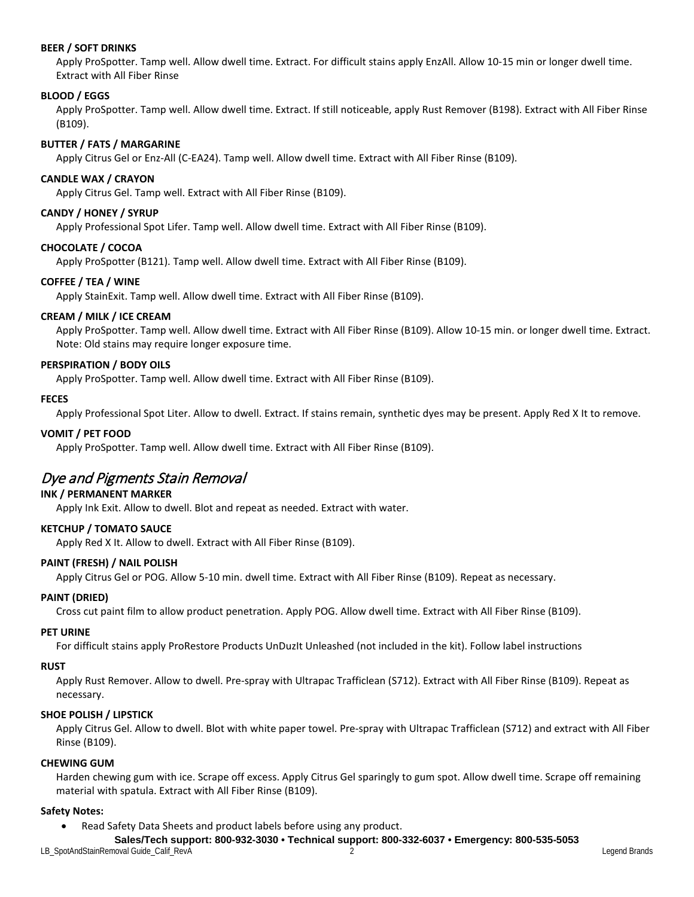#### **BEER / SOFT DRINKS**

Apply ProSpotter. Tamp well. Allow dwell time. Extract. For difficult stains apply EnzAll. Allow 10-15 min or longer dwell time. Extract with All Fiber Rinse

#### **BLOOD / EGGS**

Apply ProSpotter. Tamp well. Allow dwell time. Extract. If still noticeable, apply Rust Remover (B198). Extract with All Fiber Rinse (B109).

#### **BUTTER / FATS / MARGARINE**

Apply Citrus Gel or Enz-All (C-EA24). Tamp well. Allow dwell time. Extract with All Fiber Rinse (B109).

#### **CANDLE WAX / CRAYON**

Apply Citrus Gel. Tamp well. Extract with All Fiber Rinse (B109).

#### **CANDY / HONEY / SYRUP**

Apply Professional Spot Lifer. Tamp well. Allow dwell time. Extract with All Fiber Rinse (B109).

#### **CHOCOLATE / COCOA**

Apply ProSpotter (B121). Tamp well. Allow dwell time. Extract with All Fiber Rinse (B109).

#### **COFFEE / TEA / WINE**

Apply StainExit. Tamp well. Allow dwell time. Extract with All Fiber Rinse (B109).

#### **CREAM / MILK / ICE CREAM**

Apply ProSpotter. Tamp well. Allow dwell time. Extract with All Fiber Rinse (B109). Allow 10-15 min. or longer dwell time. Extract. Note: Old stains may require longer exposure time.

#### **PERSPIRATION / BODY OILS**

Apply ProSpotter. Tamp well. Allow dwell time. Extract with All Fiber Rinse (B109).

#### **FECES**

Apply Professional Spot Liter. Allow to dwell. Extract. If stains remain, synthetic dyes may be present. Apply Red X It to remove.

#### **VOMIT / PET FOOD**

Apply ProSpotter. Tamp well. Allow dwell time. Extract with All Fiber Rinse (B109).

# Dye and Pigments Stain Removal

# **INK / PERMANENT MARKER**

Apply Ink Exit. Allow to dwell. Blot and repeat as needed. Extract with water.

# **KETCHUP / TOMATO SAUCE**

Apply Red X It. Allow to dwell. Extract with All Fiber Rinse (B109).

#### **PAINT (FRESH) / NAIL POLISH**

Apply Citrus Gel or POG. Allow 5-10 min. dwell time. Extract with All Fiber Rinse (B109). Repeat as necessary.

#### **PAINT (DRIED)**

Cross cut paint film to allow product penetration. Apply POG. Allow dwell time. Extract with All Fiber Rinse (B109).

#### **PET URINE**

For difficult stains apply ProRestore Products UnDuzIt Unleashed (not included in the kit). Follow label instructions

#### **RUST**

Apply Rust Remover. Allow to dwell. Pre-spray with Ultrapac Trafficlean (S712). Extract with All Fiber Rinse (B109). Repeat as necessary.

#### **SHOE POLISH / LIPSTICK**

Apply Citrus Gel. Allow to dwell. Blot with white paper towel. Pre-spray with Ultrapac Trafficlean (S712) and extract with All Fiber Rinse (B109).

#### **CHEWING GUM**

Harden chewing gum with ice. Scrape off excess. Apply Citrus Gel sparingly to gum spot. Allow dwell time. Scrape off remaining material with spatula. Extract with All Fiber Rinse (B109).

#### **Safety Notes:**

• Read Safety Data Sheets and product labels before using any product.

**Sales/Tech support: 800-932-3030 • Technical support: 800-332-6037 • Emergency: 800-535-5053**